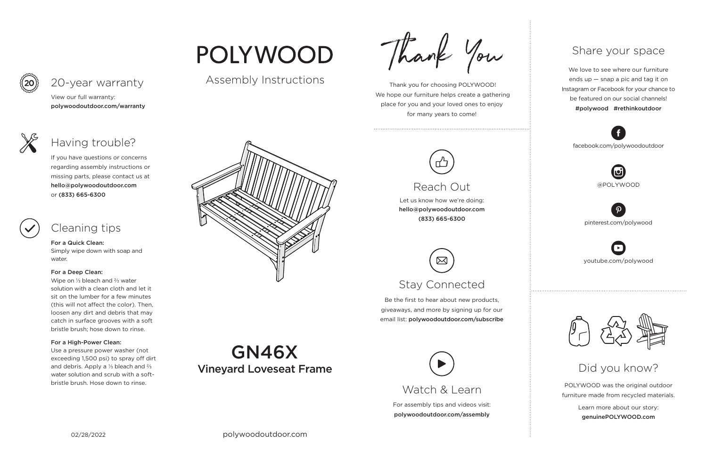**GN46X** 

Vineyard Loveseat Frame

For assembly tips and videos visit: polywoodoutdoor.com/assembly



 Thank you for choosing POLYWOOD! We hope our furniture helps create a gathering place for you and your loved ones to enjoy for many years to come!



Let us know how we're doing: hello@polywoodoutdoor.com (833) 665-6300

Be the first to hear about new products, giveaways, and more by signing up for our email list: polywoodoutdoor.com/subscribe



POLYWOOD was the original outdoor furniture made from recycled materials.

> Learn more about our story: genuinePOLYWOOD.com

We love to see where our furniture ends up — snap a pic and tag it on Instagram or Facebook for your chance to be featured on our social channels! #polywood #rethinkoutdoor



youtube.com/polywood



pinterest.com/polywood



facebook.com/polywoodoutdoor





# POLYWOOD

### Assembly Instructions

Thank You



## Reach Out

# Stay Connected

### Share your space

## Did you know?

View our full warranty: polywoodoutdoor.com/warranty



#### For a Quick Clean:

Simply wipe down with soap and water.

#### For a Deep Clean:

Wipe on ⅓ bleach and ⅔ water solution with a clean cloth and let it sit on the lumber for a few minutes (this will not affect the color). Then, loosen any dirt and debris that may catch in surface grooves with a soft bristle brush; hose down to rinse.

#### For a High-Power Clean:

Use a pressure power washer (not exceeding 1,500 psi) to spray off dirt and debris. Apply a ⅓ bleach and ⅔ water solution and scrub with a softbristle brush. Hose down to rinse.



If you have questions or concerns regarding assembly instructions or missing parts, please contact us at hello@polywoodoutdoor.com or (833) 665-6300

## 20-year warranty

## Having trouble?

# Cleaning tips